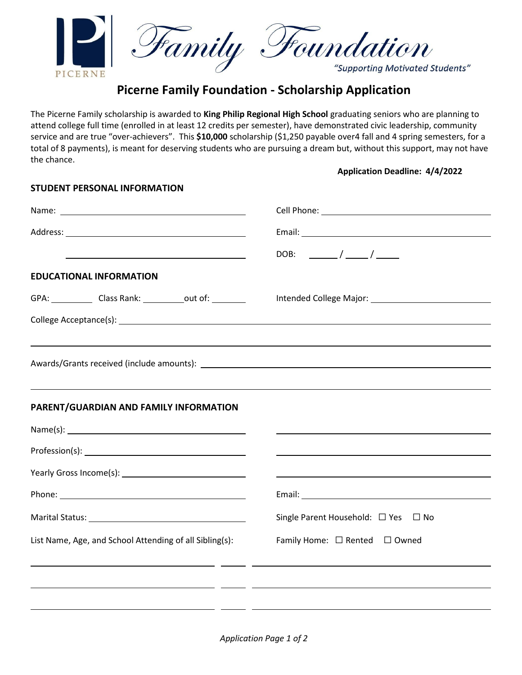

# **Picerne Family Foundation - Scholarship Application**

The Picerne Family scholarship is awarded to **King Philip Regional High School** graduating seniors who are planning to attend college full time (enrolled in at least 12 credits per semester), have demonstrated civic leadership, community service and are true "over-achievers". This **\$10,000** scholarship (\$1,250 payable over4 fall and 4 spring semesters, for a total of 8 payments), is meant for deserving students who are pursuing a dream but, without this support, may not have the chance.

**STUDENT PERSONAL INFORMATION**

## **Application Deadline: 4/4/2022**

| DOB: $\frac{\ }{\ }$ / $\frac{\ }{\ }$                                                                               |
|----------------------------------------------------------------------------------------------------------------------|
|                                                                                                                      |
|                                                                                                                      |
|                                                                                                                      |
|                                                                                                                      |
|                                                                                                                      |
|                                                                                                                      |
|                                                                                                                      |
|                                                                                                                      |
|                                                                                                                      |
|                                                                                                                      |
|                                                                                                                      |
|                                                                                                                      |
| Single Parent Household: □ Yes □ No                                                                                  |
| Family Home: □ Rented □ Owned                                                                                        |
| <u> 1989 - Andrea San Andrea San Andrea Andrea Andrea Andrea Andrea Andrea Andrea Andrea Andrea Andrea Andrea An</u> |
| <u> 1989 - Andrea Barbara, Amerikaansk politik (h. 1989)</u>                                                         |
|                                                                                                                      |
|                                                                                                                      |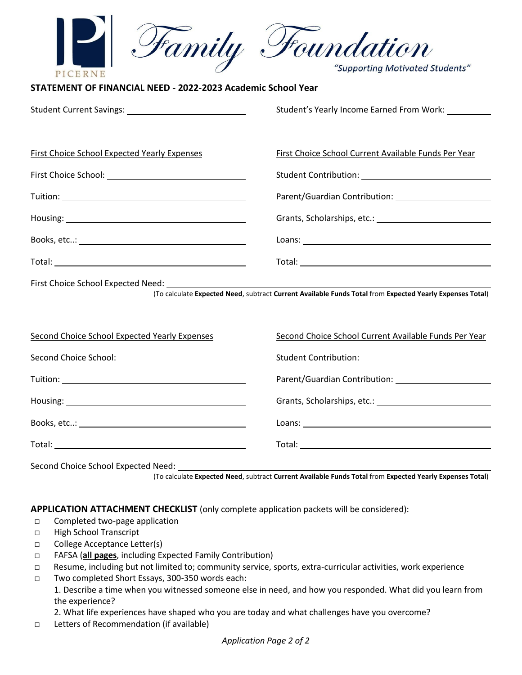| Family                                                                                                                                                     | <b>Houndation</b>                                                                                                                                                                                                              |  |
|------------------------------------------------------------------------------------------------------------------------------------------------------------|--------------------------------------------------------------------------------------------------------------------------------------------------------------------------------------------------------------------------------|--|
| PICERNE                                                                                                                                                    |                                                                                                                                                                                                                                |  |
| STATEMENT OF FINANCIAL NEED - 2022-2023 Academic School Year                                                                                               |                                                                                                                                                                                                                                |  |
|                                                                                                                                                            | Student's Yearly Income Earned From Work:                                                                                                                                                                                      |  |
|                                                                                                                                                            |                                                                                                                                                                                                                                |  |
| <b>First Choice School Expected Yearly Expenses</b>                                                                                                        | <b>First Choice School Current Available Funds Per Year</b>                                                                                                                                                                    |  |
|                                                                                                                                                            |                                                                                                                                                                                                                                |  |
|                                                                                                                                                            |                                                                                                                                                                                                                                |  |
|                                                                                                                                                            |                                                                                                                                                                                                                                |  |
|                                                                                                                                                            | Loans: Note: Note: Note: Note: Note: Note: Note: Note: Note: Note: Note: Note: Note: Note: Note: Note: Note: Note: Note: Note: Note: Note: Note: Note: Note: Note: Note: Note: Note: Note: Note: Note: Note: Note: Note: Note: |  |
|                                                                                                                                                            |                                                                                                                                                                                                                                |  |
| (To calculate Expected Need, subtract Current Available Funds Total from Expected Yearly Expenses Total)                                                   |                                                                                                                                                                                                                                |  |
| <b>Second Choice School Expected Yearly Expenses</b>                                                                                                       | Second Choice School Current Available Funds Per Year                                                                                                                                                                          |  |
|                                                                                                                                                            |                                                                                                                                                                                                                                |  |
|                                                                                                                                                            |                                                                                                                                                                                                                                |  |
|                                                                                                                                                            |                                                                                                                                                                                                                                |  |
|                                                                                                                                                            | Loans: Note: Note: Note: Note: Note: Note: Note: Note: Note: Note: Note: Note: Note: Note: Note: Note: Note: Note: Note: Note: Note: Note: Note: Note: Note: Note: Note: Note: Note: Note: Note: Note: Note: Note: Note: Note: |  |
|                                                                                                                                                            |                                                                                                                                                                                                                                |  |
| Second Choice School Expected Need: __________<br>(To calculate Expected Need, subtract Current Available Funds Total from Expected Yearly Expenses Total) |                                                                                                                                                                                                                                |  |

**APPLICATION ATTACHMENT CHECKLIST** (only complete application packets will be considered):

- □ Completed two-page application
- □ High School Transcript
- □ College Acceptance Letter(s)
- □ FAFSA (**all pages**, including Expected Family Contribution)
- □ Resume, including but not limited to; community service, sports, extra-curricular activities, work experience
- □ Two completed Short Essays, 300-350 words each: 1. Describe a time when you witnessed someone else in need, and how you responded. What did you learn from the experience?

2. What life experiences have shaped who you are today and what challenges have you overcome?

□ Letters of Recommendation (if available)